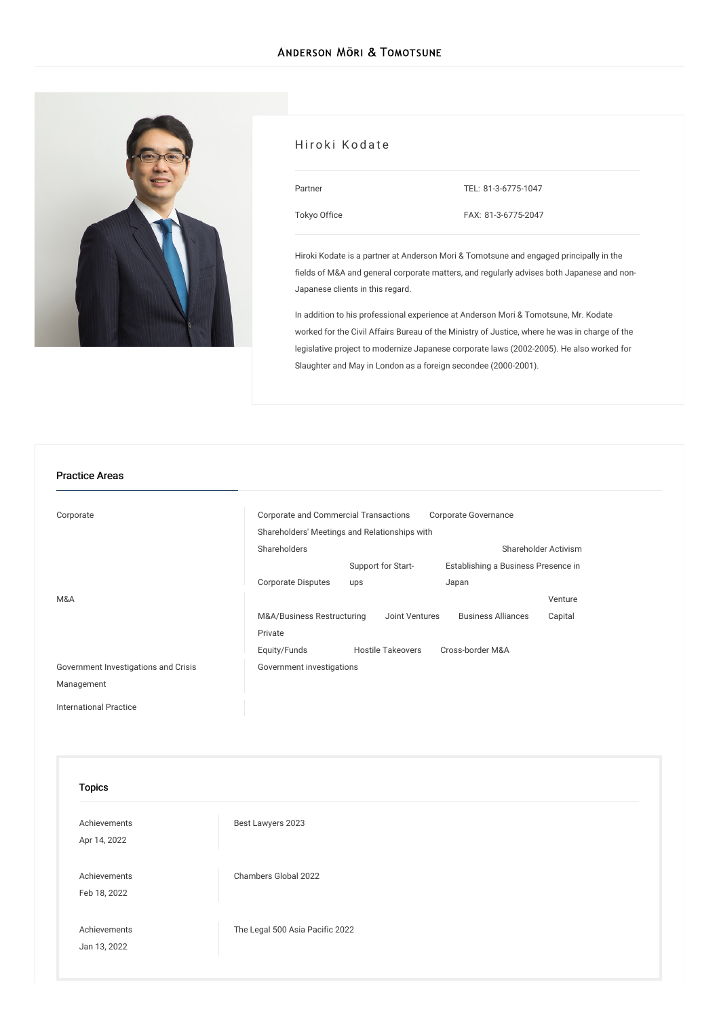

# Hiroki Kodate Partner [Tokyo](/en/locations/tokyo) Office TEL: [81-3-6775-1047](tel:81-3-6775-1047) FAX: 81-3-6775-2047

Hiroki Kodate is a partner at Anderson Mori & Tomotsune and engaged principally in the fields of M&A and general corporate matters, and regularly advises both Japanese and non-Japanese clients in this regard.

In addition to his professional experience at Anderson Mori & Tomotsune, Mr. Kodate worked for the Civil Affairs Bureau of the Ministry of Justice, where he was in charge of the legislative project to modernize Japanese corporate laws (2002-2005). He also worked for Slaughter and May in London as a foreign secondee (2000-2001).

#### Practice Areas

| Corporate                            | Corporate and Commercial Transactions<br>Corporate Governance |                          |                                     |         |
|--------------------------------------|---------------------------------------------------------------|--------------------------|-------------------------------------|---------|
|                                      | Shareholders' Meetings and Relationships with                 |                          |                                     |         |
|                                      | Shareholders                                                  |                          | Shareholder Activism                |         |
|                                      |                                                               | Support for Start-       | Establishing a Business Presence in |         |
|                                      | <b>Corporate Disputes</b>                                     | ups                      | Japan                               |         |
| M&A                                  |                                                               |                          |                                     | Venture |
|                                      | M&A/Business Restructuring                                    | Joint Ventures           | <b>Business Alliances</b>           | Capital |
|                                      | Private                                                       |                          |                                     |         |
|                                      | Equity/Funds                                                  | <b>Hostile Takeovers</b> | Cross-border M&A                    |         |
| Government Investigations and Crisis | Government investigations                                     |                          |                                     |         |
| Management                           |                                                               |                          |                                     |         |
|                                      |                                                               |                          |                                     |         |

[International](/en/services/practices/international-practice) Practice

| <b>Topics</b>                |                                 |  |
|------------------------------|---------------------------------|--|
| Achievements<br>Apr 14, 2022 | Best Lawyers 2023               |  |
| Achievements<br>Feb 18, 2022 | Chambers Global 2022            |  |
| Achievements<br>Jan 13, 2022 | The Legal 500 Asia Pacific 2022 |  |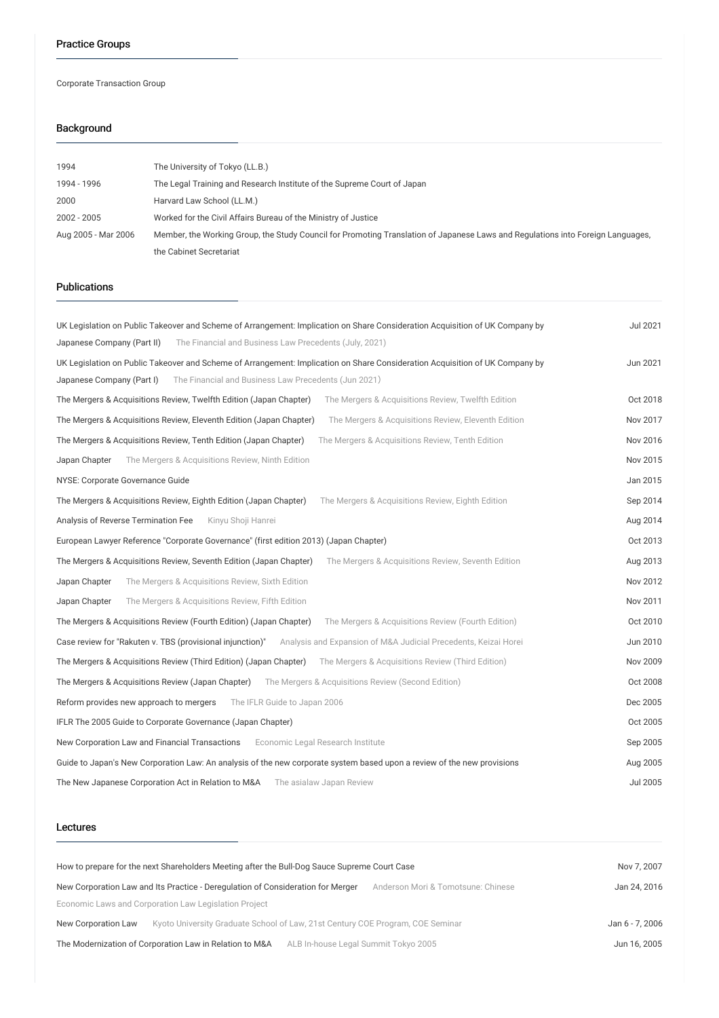Corporate Transaction Group

# Background

| 1994                | The University of Tokyo (LL.B.)                                                                                                 |  |
|---------------------|---------------------------------------------------------------------------------------------------------------------------------|--|
| 1994 - 1996         | The Legal Training and Research Institute of the Supreme Court of Japan                                                         |  |
| 2000                | Harvard Law School (LL.M.)                                                                                                      |  |
| 2002 - 2005         | Worked for the Civil Affairs Bureau of the Ministry of Justice                                                                  |  |
| Aug 2005 - Mar 2006 | Member, the Working Group, the Study Council for Promoting Translation of Japanese Laws and Regulations into Foreign Languages, |  |
|                     | the Cabinet Secretariat                                                                                                         |  |

# Publications

| UK Legislation on Public Takeover and Scheme of Arrangement: Implication on Share Consideration Acquisition of UK Company by | <b>Jul 2021</b> |
|------------------------------------------------------------------------------------------------------------------------------|-----------------|
| The Financial and Business Law Precedents (July, 2021)<br>Japanese Company (Part II)                                         |                 |
| UK Legislation on Public Takeover and Scheme of Arrangement: Implication on Share Consideration Acquisition of UK Company by | Jun 2021        |
| Japanese Company (Part I)<br>The Financial and Business Law Precedents (Jun 2021)                                            |                 |
| The Mergers & Acquisitions Review, Twelfth Edition (Japan Chapter)<br>The Mergers & Acquisitions Review, Twelfth Edition     | Oct 2018        |
| The Mergers & Acquisitions Review, Eleventh Edition (Japan Chapter)<br>The Mergers & Acquisitions Review, Eleventh Edition   | Nov 2017        |
| The Mergers & Acquisitions Review, Tenth Edition (Japan Chapter)<br>The Mergers & Acquisitions Review, Tenth Edition         | Nov 2016        |
| The Mergers & Acquisitions Review, Ninth Edition<br>Japan Chapter                                                            | Nov 2015        |
| NYSE: Corporate Governance Guide                                                                                             | Jan 2015        |
| The Mergers & Acquisitions Review, Eighth Edition<br>The Mergers & Acquisitions Review, Eighth Edition (Japan Chapter)       | Sep 2014        |
| Analysis of Reverse Termination Fee<br>Kinyu Shoji Hanrei                                                                    | Aug 2014        |
| European Lawyer Reference "Corporate Governance" (first edition 2013) (Japan Chapter)                                        | Oct 2013        |
| The Mergers & Acquisitions Review, Seventh Edition (Japan Chapter)<br>The Mergers & Acquisitions Review, Seventh Edition     | Aug 2013        |
| Japan Chapter<br>The Mergers & Acquisitions Review, Sixth Edition                                                            | Nov 2012        |
| Japan Chapter<br>The Mergers & Acquisitions Review, Fifth Edition                                                            | Nov 2011        |
| The Mergers & Acquisitions Review (Fourth Edition) (Japan Chapter)<br>The Mergers & Acquisitions Review (Fourth Edition)     | Oct 2010        |
| Case review for "Rakuten v. TBS (provisional injunction)"<br>Analysis and Expansion of M&A Judicial Precedents, Keizai Horei | Jun 2010        |
| The Mergers & Acquisitions Review (Third Edition) (Japan Chapter) The Mergers & Acquisitions Review (Third Edition)          | Nov 2009        |
| The Mergers & Acquisitions Review (Japan Chapter)<br>The Mergers & Acquisitions Review (Second Edition)                      | Oct 2008        |
| Reform provides new approach to mergers<br>The IFLR Guide to Japan 2006                                                      | Dec 2005        |
| IFLR The 2005 Guide to Corporate Governance (Japan Chapter)                                                                  | Oct 2005        |
| New Corporation Law and Financial Transactions<br>Economic Legal Research Institute                                          | Sep 2005        |
| Guide to Japan's New Corporation Law: An analysis of the new corporate system based upon a review of the new provisions      | Aug 2005        |
| The New Japanese Corporation Act in Relation to M&A<br>The asialaw Japan Review                                              | <b>Jul 2005</b> |
|                                                                                                                              |                 |

#### Lectures

| How to prepare for the next Shareholders Meeting after the Bull-Dog Sauce Supreme Court Case                             |              |  |
|--------------------------------------------------------------------------------------------------------------------------|--------------|--|
| New Corporation Law and Its Practice - Deregulation of Consideration for Merger<br>Anderson Mori & Tomotsune: Chinese    | Jan 24, 2016 |  |
| Economic Laws and Corporation Law Legislation Project                                                                    |              |  |
| Kyoto University Graduate School of Law, 21st Century COE Program, COE Seminar<br>New Corporation Law<br>Jan 6 - 7, 2006 |              |  |
| The Modernization of Corporation Law in Relation to M&A<br>ALB In-house Legal Summit Tokyo 2005<br>Jun 16, 2005          |              |  |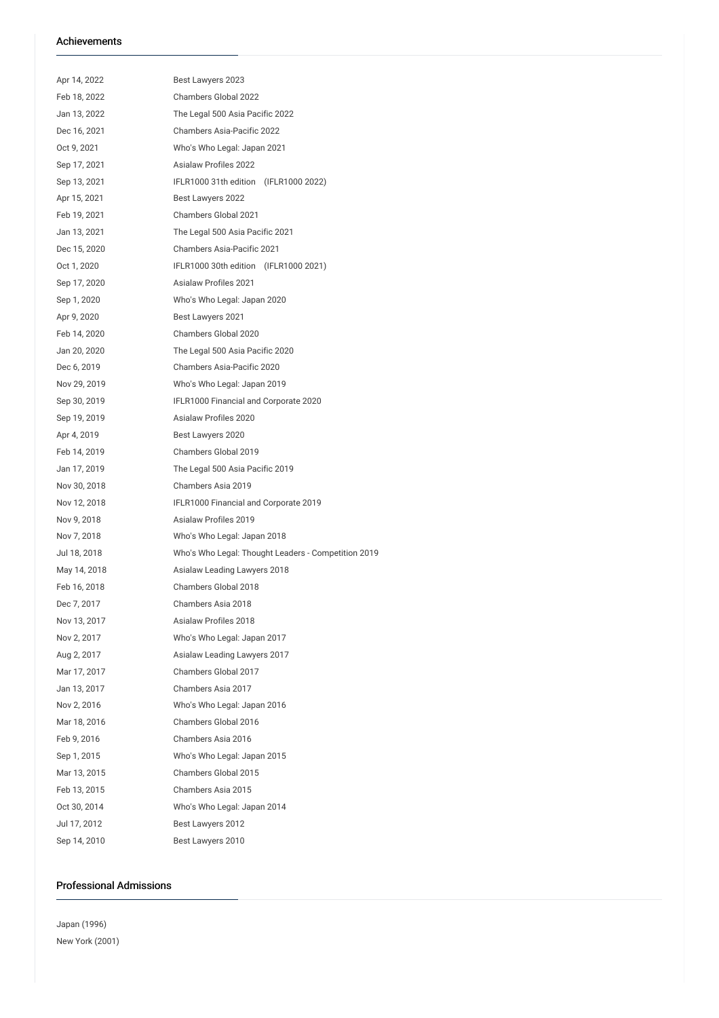## Achievements

| Apr 14, 2022 | Best Lawyers 2023                                   |  |  |
|--------------|-----------------------------------------------------|--|--|
| Feb 18, 2022 | Chambers Global 2022                                |  |  |
| Jan 13, 2022 | The Legal 500 Asia Pacific 2022                     |  |  |
| Dec 16, 2021 | Chambers Asia-Pacific 2022                          |  |  |
| Oct 9, 2021  | Who's Who Legal: Japan 2021                         |  |  |
| Sep 17, 2021 | <b>Asialaw Profiles 2022</b>                        |  |  |
| Sep 13, 2021 | IFLR1000 31th edition (IFLR1000 2022)               |  |  |
| Apr 15, 2021 | Best Lawyers 2022                                   |  |  |
| Feb 19, 2021 | <b>Chambers Global 2021</b>                         |  |  |
| Jan 13, 2021 | The Legal 500 Asia Pacific 2021                     |  |  |
| Dec 15, 2020 | <b>Chambers Asia-Pacific 2021</b>                   |  |  |
| Oct 1, 2020  | IFLR1000 30th edition (IFLR1000 2021)               |  |  |
| Sep 17, 2020 | <b>Asialaw Profiles 2021</b>                        |  |  |
| Sep 1, 2020  | Who's Who Legal: Japan 2020                         |  |  |
| Apr 9, 2020  | Best Lawyers 2021                                   |  |  |
| Feb 14, 2020 | Chambers Global 2020                                |  |  |
| Jan 20, 2020 | The Legal 500 Asia Pacific 2020                     |  |  |
| Dec 6, 2019  | Chambers Asia-Pacific 2020                          |  |  |
| Nov 29, 2019 | Who's Who Legal: Japan 2019                         |  |  |
| Sep 30, 2019 | IFLR1000 Financial and Corporate 2020               |  |  |
| Sep 19, 2019 | <b>Asialaw Profiles 2020</b>                        |  |  |
| Apr 4, 2019  | Best Lawyers 2020                                   |  |  |
| Feb 14, 2019 | Chambers Global 2019                                |  |  |
| Jan 17, 2019 | The Legal 500 Asia Pacific 2019                     |  |  |
| Nov 30, 2018 | Chambers Asia 2019                                  |  |  |
| Nov 12, 2018 | IFLR1000 Financial and Corporate 2019               |  |  |
| Nov 9, 2018  | <b>Asialaw Profiles 2019</b>                        |  |  |
| Nov 7, 2018  | Who's Who Legal: Japan 2018                         |  |  |
| Jul 18, 2018 | Who's Who Legal: Thought Leaders - Competition 2019 |  |  |
| May 14, 2018 | Asialaw Leading Lawyers 2018                        |  |  |
| Feb 16, 2018 | Chambers Global 2018                                |  |  |
| Dec 7, 2017  | Chambers Asia 2018                                  |  |  |
| Nov 13, 2017 | Asialaw Profiles 2018                               |  |  |
| Nov 2, 2017  | Who's Who Legal: Japan 2017                         |  |  |
| Aug 2, 2017  | Asialaw Leading Lawyers 2017                        |  |  |
| Mar 17, 2017 | Chambers Global 2017                                |  |  |
| Jan 13, 2017 | Chambers Asia 2017                                  |  |  |
| Nov 2, 2016  | Who's Who Legal: Japan 2016                         |  |  |
| Mar 18, 2016 | Chambers Global 2016                                |  |  |
| Feb 9, 2016  | Chambers Asia 2016                                  |  |  |
| Sep 1, 2015  | Who's Who Legal: Japan 2015                         |  |  |
| Mar 13, 2015 | Chambers Global 2015                                |  |  |
| Feb 13, 2015 | Chambers Asia 2015                                  |  |  |
| Oct 30, 2014 | Who's Who Legal: Japan 2014                         |  |  |
| Jul 17, 2012 | Best Lawyers 2012                                   |  |  |
| Sep 14, 2010 | Best Lawyers 2010                                   |  |  |

## Professional Admissions

Japan (1996) New York (2001)